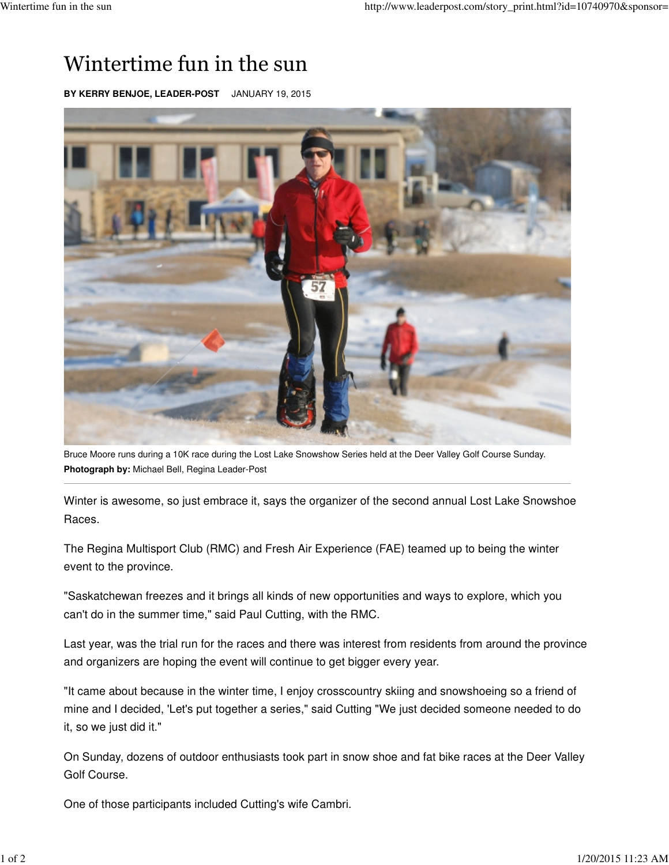## Wintertime fun in the sun

**BY KERRY BENJOE, LEADER-POST** JANUARY 19, 2015



Bruce Moore runs during a 10K race during the Lost Lake Snowshow Series held at the Deer Valley Golf Course Sunday. **Photograph by:** Michael Bell, Regina Leader-Post

Winter is awesome, so just embrace it, says the organizer of the second annual Lost Lake Snowshoe Races.

The Regina Multisport Club (RMC) and Fresh Air Experience (FAE) teamed up to being the winter event to the province.

"Saskatchewan freezes and it brings all kinds of new opportunities and ways to explore, which you can't do in the summer time," said Paul Cutting, with the RMC.

Last year, was the trial run for the races and there was interest from residents from around the province and organizers are hoping the event will continue to get bigger every year.

"It came about because in the winter time, I enjoy crosscountry skiing and snowshoeing so a friend of mine and I decided, 'Let's put together a series," said Cutting "We just decided someone needed to do it, so we just did it."

On Sunday, dozens of outdoor enthusiasts took part in snow shoe and fat bike races at the Deer Valley Golf Course.

One of those participants included Cutting's wife Cambri.